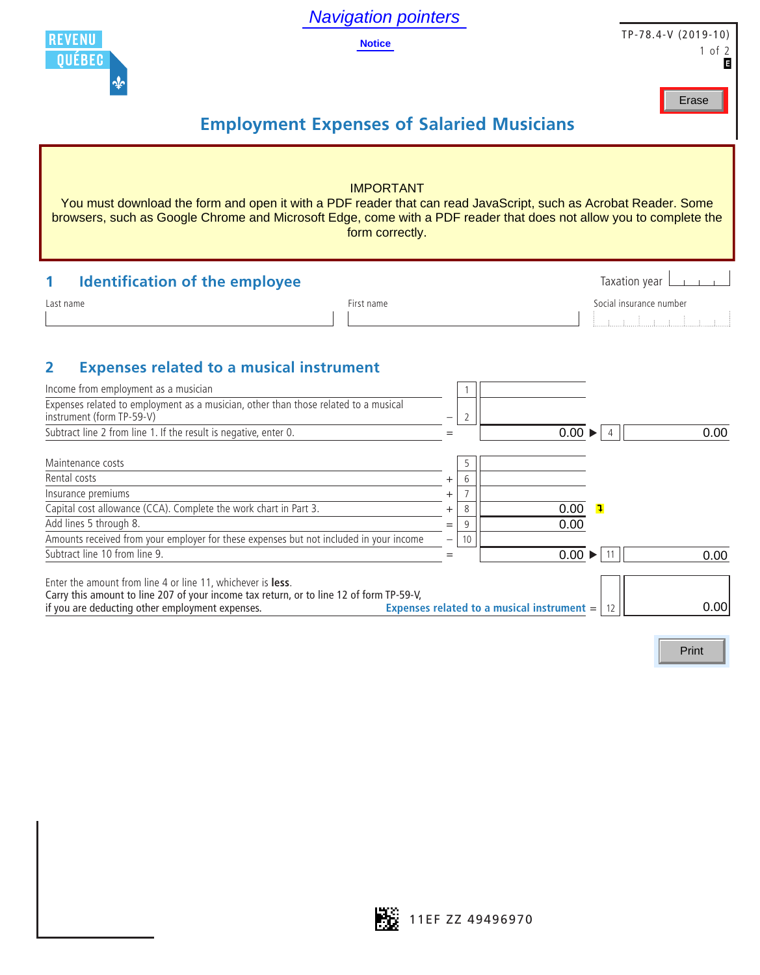Navigation pointers

**Notice**



TP-78.4-V (2019-10) 1 of 2

Erase

## **Employment Expenses of Salaried Musicians**

| <b>IMPORTANT</b><br>You must download the form and open it with a PDF reader that can read JavaScript, such as Acrobat Reader. Some<br>browsers, such as Google Chrome and Microsoft Edge, come with a PDF reader that does not allow you to complete the<br>form correctly.         |            |                                            |                            |                                                                                                                                                                                                                                                                                                                                                                                                                                                                                                                                                                           |  |  |  |  |  |
|--------------------------------------------------------------------------------------------------------------------------------------------------------------------------------------------------------------------------------------------------------------------------------------|------------|--------------------------------------------|----------------------------|---------------------------------------------------------------------------------------------------------------------------------------------------------------------------------------------------------------------------------------------------------------------------------------------------------------------------------------------------------------------------------------------------------------------------------------------------------------------------------------------------------------------------------------------------------------------------|--|--|--|--|--|
| <b>Identification of the employee</b><br>1                                                                                                                                                                                                                                           |            |                                            |                            | Taxation year                                                                                                                                                                                                                                                                                                                                                                                                                                                                                                                                                             |  |  |  |  |  |
| Last name                                                                                                                                                                                                                                                                            | First name |                                            |                            | Social insurance number<br>$\begin{minipage}{.4\linewidth} \begin{tabular}{l} \hline \multicolumn{3}{c}{\textbf{0.4\linewidth}} \end{tabular} \end{minipage} \begin{minipage}{.4\linewidth} \begin{tabular}{l} \hline \multicolumn{3}{c}{\textbf{0.4\linewidth}} \end{tabular} \end{minipage} \begin{minipage}{.4\linewidth} \end{minipage} \begin{minipage}{.4\linewidth} \end{minipage} \begin{minipage}{.4\linewidth} \end{minipage} \begin{minipage}{.4\linewidth} \end{minipage} \begin{minipage}{.4\linewidth} \end{minipage} \begin{minipage}{.4\linewidth} \end{$ |  |  |  |  |  |
| <b>Expenses related to a musical instrument</b><br>2<br>Income from employment as a musician<br>Expenses related to employment as a musician, other than those related to a musical<br>instrument (form TP-59-V)<br>Subtract line 2 from line 1. If the result is negative, enter 0. |            | 2<br>$=$                                   | $0.00 \blacktriangleright$ | 0.00<br>$\overline{4}$                                                                                                                                                                                                                                                                                                                                                                                                                                                                                                                                                    |  |  |  |  |  |
| Maintenance costs<br>Rental costs<br>Insurance premiums<br>Capital cost allowance (CCA). Complete the work chart in Part 3.<br>Add lines 5 through 8.<br>Amounts received from your employer for these expenses but not included in your income                                      |            | 5<br>6<br>8<br>9<br>$=$                    | 0.00<br>0.00               | $\overline{\mathbf{1}}$                                                                                                                                                                                                                                                                                                                                                                                                                                                                                                                                                   |  |  |  |  |  |
| Subtract line 10 from line 9                                                                                                                                                                                                                                                         |            | 10<br>$=$                                  | $0.00 \blacktriangleright$ | 0.00<br>11                                                                                                                                                                                                                                                                                                                                                                                                                                                                                                                                                                |  |  |  |  |  |
| Enter the amount from line 4 or line 11, whichever is less.<br>Carry this amount to line 207 of your income tax return, or to line 12 of form TP-59-V,<br>if you are deducting other employment expenses.                                                                            |            | Expenses related to a musical instrument = |                            | 0.00                                                                                                                                                                                                                                                                                                                                                                                                                                                                                                                                                                      |  |  |  |  |  |

Print